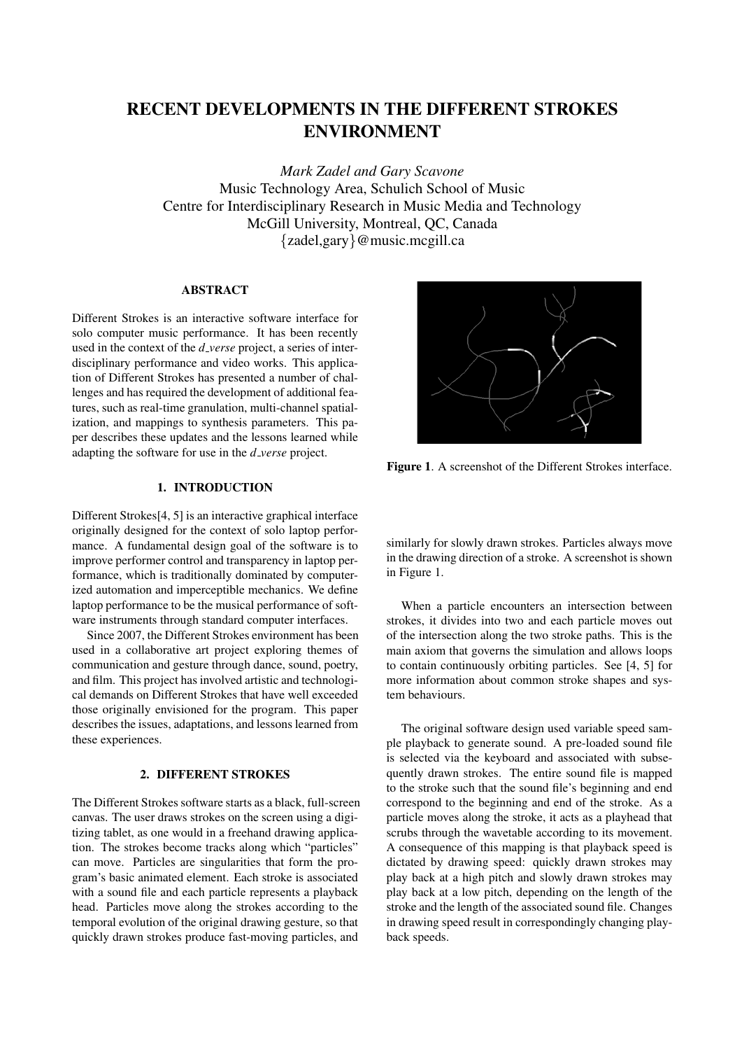# RECENT DEVELOPMENTS IN THE DIFFERENT STROKES ENVIRONMENT

*Mark Zadel and Gary Scavone* Music Technology Area, Schulich School of Music Centre for Interdisciplinary Research in Music Media and Technology McGill University, Montreal, QC, Canada {zadel,gary}@music.mcgill.ca

### ABSTRACT

Different Strokes is an interactive software interface for solo computer music performance. It has been recently used in the context of the *d verse* project, a series of interdisciplinary performance and video works. This application of Different Strokes has presented a number of challenges and has required the development of additional features, such as real-time granulation, multi-channel spatialization, and mappings to synthesis parameters. This paper describes these updates and the lessons learned while adapting the software for use in the *d verse* project.

# 1. INTRODUCTION

Different Strokes[4, 5] is an interactive graphical interface originally designed for the context of solo laptop performance. A fundamental design goal of the software is to improve performer control and transparency in laptop performance, which is traditionally dominated by computerized automation and imperceptible mechanics. We define laptop performance to be the musical performance of software instruments through standard computer interfaces.

Since 2007, the Different Strokes environment has been used in a collaborative art project exploring themes of communication and gesture through dance, sound, poetry, and film. This project has involved artistic and technological demands on Different Strokes that have well exceeded those originally envisioned for the program. This paper describes the issues, adaptations, and lessons learned from these experiences.

# 2. DIFFERENT STROKES

The Different Strokes software starts as a black, full-screen canvas. The user draws strokes on the screen using a digitizing tablet, as one would in a freehand drawing application. The strokes become tracks along which "particles" can move. Particles are singularities that form the program's basic animated element. Each stroke is associated with a sound file and each particle represents a playback head. Particles move along the strokes according to the temporal evolution of the original drawing gesture, so that quickly drawn strokes produce fast-moving particles, and



Figure 1. A screenshot of the Different Strokes interface.

similarly for slowly drawn strokes. Particles always move in the drawing direction of a stroke. A screenshot is shown in Figure 1.

When a particle encounters an intersection between strokes, it divides into two and each particle moves out of the intersection along the two stroke paths. This is the main axiom that governs the simulation and allows loops to contain continuously orbiting particles. See [4, 5] for more information about common stroke shapes and system behaviours.

The original software design used variable speed sample playback to generate sound. A pre-loaded sound file is selected via the keyboard and associated with subsequently drawn strokes. The entire sound file is mapped to the stroke such that the sound file's beginning and end correspond to the beginning and end of the stroke. As a particle moves along the stroke, it acts as a playhead that scrubs through the wavetable according to its movement. A consequence of this mapping is that playback speed is dictated by drawing speed: quickly drawn strokes may play back at a high pitch and slowly drawn strokes may play back at a low pitch, depending on the length of the stroke and the length of the associated sound file. Changes in drawing speed result in correspondingly changing playback speeds.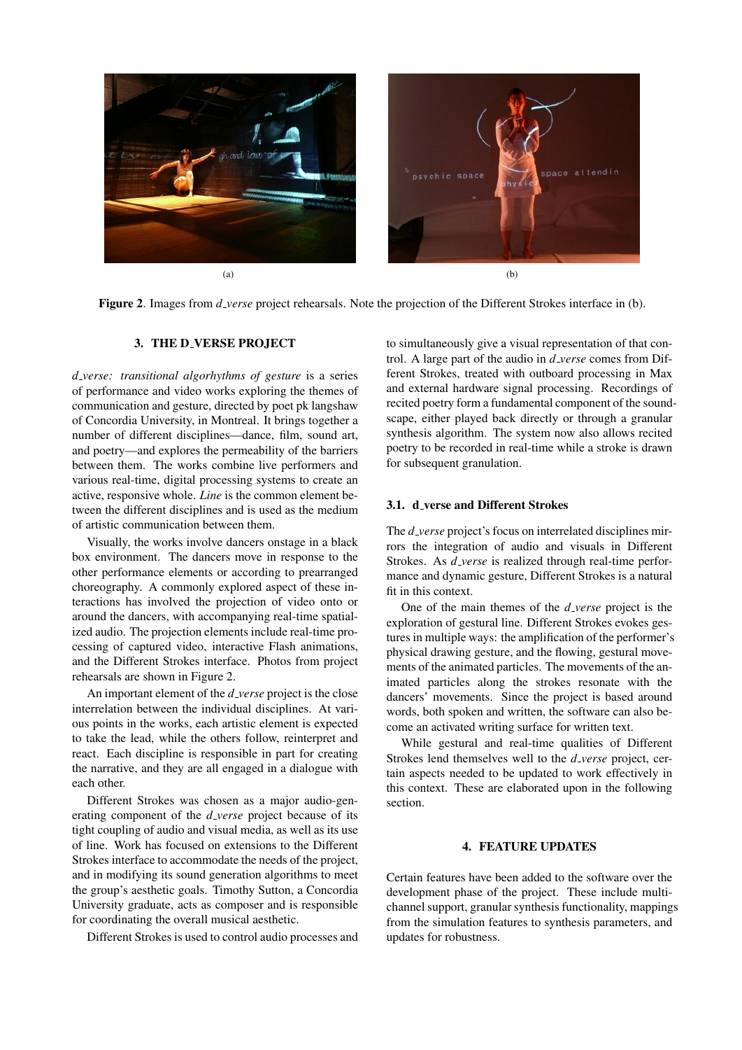

Figure 2. Images from *d verse* project rehearsals. Note the projection of the Different Strokes interface in (b).

### 3. THE D VERSE PROJECT

*d verse: transitional algorhythms of gesture* is a series of performance and video works exploring the themes of communication and gesture, directed by poet pk langshaw of Concordia University, in Montreal. It brings together a number of different disciplines—dance, film, sound art, and poetry—and explores the permeability of the barriers between them. The works combine live performers and various real-time, digital processing systems to create an active, responsive whole. *Line* is the common element between the different disciplines and is used as the medium of artistic communication between them.

Visually, the works involve dancers onstage in a black box environment. The dancers move in response to the other performance elements or according to prearranged choreography. A commonly explored aspect of these interactions has involved the projection of video onto or around the dancers, with accompanying real-time spatialized audio. The projection elements include real-time processing of captured video, interactive Flash animations, and the Different Strokes interface. Photos from project rehearsals are shown in Figure 2.

An important element of the *d verse* project is the close interrelation between the individual disciplines. At various points in the works, each artistic element is expected to take the lead, while the others follow, reinterpret and react. Each discipline is responsible in part for creating the narrative, and they are all engaged in a dialogue with each other.

Different Strokes was chosen as a major audio-generating component of the *d verse* project because of its tight coupling of audio and visual media, as well as its use of line. Work has focused on extensions to the Different Strokes interface to accommodate the needs of the project, and in modifying its sound generation algorithms to meet the group's aesthetic goals. Timothy Sutton, a Concordia University graduate, acts as composer and is responsible for coordinating the overall musical aesthetic.

Different Strokes is used to control audio processes and

to simultaneously give a visual representation of that control. A large part of the audio in *d verse* comes from Different Strokes, treated with outboard processing in Max and external hardware signal processing. Recordings of recited poetry form a fundamental component of the soundscape, either played back directly or through a granular synthesis algorithm. The system now also allows recited poetry to be recorded in real-time while a stroke is drawn for subsequent granulation.

### 3.1. d verse and Different Strokes

The *d verse* project's focus on interrelated disciplines mirrors the integration of audio and visuals in Different Strokes. As *d verse* is realized through real-time performance and dynamic gesture, Different Strokes is a natural fit in this context.

One of the main themes of the *d verse* project is the exploration of gestural line. Different Strokes evokes gestures in multiple ways: the amplification of the performer's physical drawing gesture, and the flowing, gestural movements of the animated particles. The movements of the animated particles along the strokes resonate with the dancers' movements. Since the project is based around words, both spoken and written, the software can also become an activated writing surface for written text.

While gestural and real-time qualities of Different Strokes lend themselves well to the *d verse* project, certain aspects needed to be updated to work effectively in this context. These are elaborated upon in the following section.

### 4. FEATURE UPDATES

Certain features have been added to the software over the development phase of the project. These include multichannel support, granular synthesis functionality, mappings from the simulation features to synthesis parameters, and updates for robustness.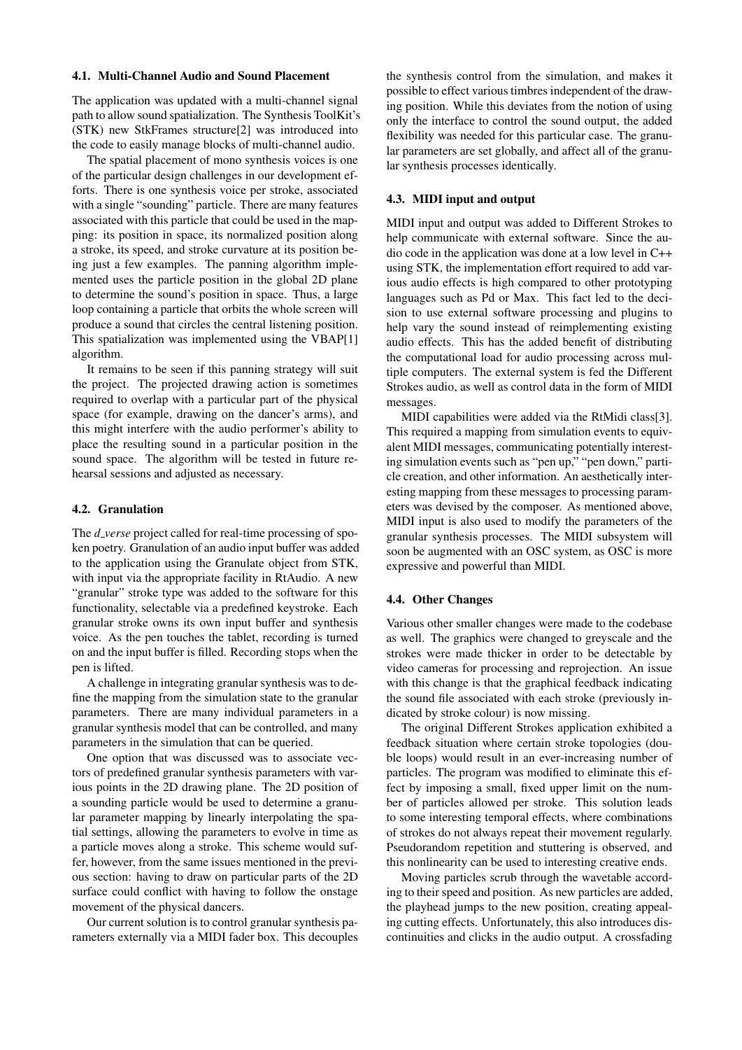### 4.1. Multi-Channel Audio and Sound Placement

The application was updated with a multi-channel signal path to allow sound spatialization. The Synthesis ToolKit's (STK) new StkFrames structure[2] was introduced into the code to easily manage blocks of multi-channel audio.

The spatial placement of mono synthesis voices is one of the particular design challenges in our development efforts. There is one synthesis voice per stroke, associated with a single "sounding" particle. There are many features associated with this particle that could be used in the mapping: its position in space, its normalized position along a stroke, its speed, and stroke curvature at its position being just a few examples. The panning algorithm implemented uses the particle position in the global 2D plane to determine the sound's position in space. Thus, a large loop containing a particle that orbits the whole screen will produce a sound that circles the central listening position. This spatialization was implemented using the VBAP[1] algorithm.

It remains to be seen if this panning strategy will suit the project. The projected drawing action is sometimes required to overlap with a particular part of the physical space (for example, drawing on the dancer's arms), and this might interfere with the audio performer's ability to place the resulting sound in a particular position in the sound space. The algorithm will be tested in future rehearsal sessions and adjusted as necessary.

### 4.2. Granulation

The *d verse* project called for real-time processing of spoken poetry. Granulation of an audio input buffer was added to the application using the Granulate object from STK, with input via the appropriate facility in RtAudio. A new "granular" stroke type was added to the software for this functionality, selectable via a predefined keystroke. Each granular stroke owns its own input buffer and synthesis voice. As the pen touches the tablet, recording is turned on and the input buffer is filled. Recording stops when the pen is lifted.

A challenge in integrating granular synthesis was to define the mapping from the simulation state to the granular parameters. There are many individual parameters in a granular synthesis model that can be controlled, and many parameters in the simulation that can be queried.

One option that was discussed was to associate vectors of predefined granular synthesis parameters with various points in the 2D drawing plane. The 2D position of a sounding particle would be used to determine a granular parameter mapping by linearly interpolating the spatial settings, allowing the parameters to evolve in time as a particle moves along a stroke. This scheme would suffer, however, from the same issues mentioned in the previous section: having to draw on particular parts of the 2D surface could conflict with having to follow the onstage movement of the physical dancers.

Our current solution is to control granular synthesis parameters externally via a MIDI fader box. This decouples the synthesis control from the simulation, and makes it possible to effect various timbres independent of the drawing position. While this deviates from the notion of using only the interface to control the sound output, the added flexibility was needed for this particular case. The granular parameters are set globally, and affect all of the granular synthesis processes identically.

# 4.3. MIDI input and output

MIDI input and output was added to Different Strokes to help communicate with external software. Since the audio code in the application was done at a low level in C++ using STK, the implementation effort required to add various audio effects is high compared to other prototyping languages such as Pd or Max. This fact led to the decision to use external software processing and plugins to help vary the sound instead of reimplementing existing audio effects. This has the added benefit of distributing the computational load for audio processing across multiple computers. The external system is fed the Different Strokes audio, as well as control data in the form of MIDI messages.

MIDI capabilities were added via the RtMidi class[3]. This required a mapping from simulation events to equivalent MIDI messages, communicating potentially interesting simulation events such as "pen up," "pen down," particle creation, and other information. An aesthetically interesting mapping from these messages to processing parameters was devised by the composer. As mentioned above, MIDI input is also used to modify the parameters of the granular synthesis processes. The MIDI subsystem will soon be augmented with an OSC system, as OSC is more expressive and powerful than MIDI.

### 4.4. Other Changes

Various other smaller changes were made to the codebase as well. The graphics were changed to greyscale and the strokes were made thicker in order to be detectable by video cameras for processing and reprojection. An issue with this change is that the graphical feedback indicating the sound file associated with each stroke (previously indicated by stroke colour) is now missing.

The original Different Strokes application exhibited a feedback situation where certain stroke topologies (double loops) would result in an ever-increasing number of particles. The program was modified to eliminate this effect by imposing a small, fixed upper limit on the number of particles allowed per stroke. This solution leads to some interesting temporal effects, where combinations of strokes do not always repeat their movement regularly. Pseudorandom repetition and stuttering is observed, and this nonlinearity can be used to interesting creative ends.

Moving particles scrub through the wavetable according to their speed and position. As new particles are added, the playhead jumps to the new position, creating appealing cutting effects. Unfortunately, this also introduces discontinuities and clicks in the audio output. A crossfading